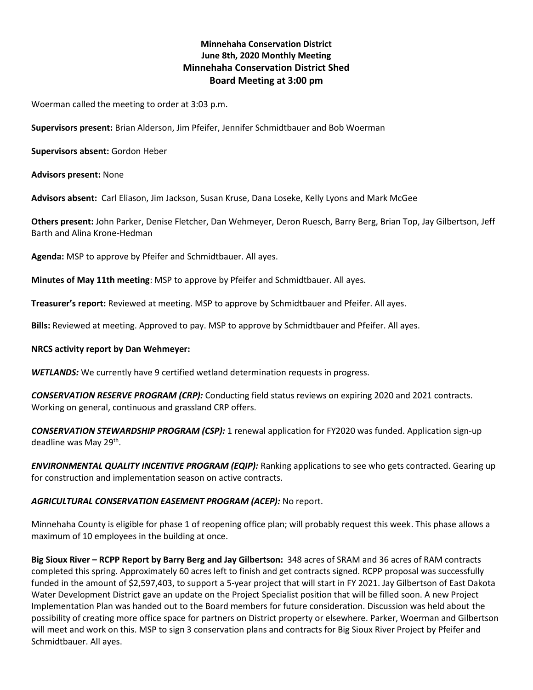# **Minnehaha Conservation District June 8th, 2020 Monthly Meeting Minnehaha Conservation District Shed Board Meeting at 3:00 pm**

Woerman called the meeting to order at 3:03 p.m.

**Supervisors present:** Brian Alderson, Jim Pfeifer, Jennifer Schmidtbauer and Bob Woerman

**Supervisors absent:** Gordon Heber

**Advisors present:** None

**Advisors absent:** Carl Eliason, Jim Jackson, Susan Kruse, Dana Loseke, Kelly Lyons and Mark McGee

**Others present:** John Parker, Denise Fletcher, Dan Wehmeyer, Deron Ruesch, Barry Berg, Brian Top, Jay Gilbertson, Jeff Barth and Alina Krone-Hedman

**Agenda:** MSP to approve by Pfeifer and Schmidtbauer. All ayes.

**Minutes of May 11th meeting**: MSP to approve by Pfeifer and Schmidtbauer. All ayes.

**Treasurer's report:** Reviewed at meeting. MSP to approve by Schmidtbauer and Pfeifer. All ayes.

**Bills:** Reviewed at meeting. Approved to pay. MSP to approve by Schmidtbauer and Pfeifer. All ayes.

#### **NRCS activity report by Dan Wehmeyer:**

*WETLANDS:* We currently have 9 certified wetland determination requests in progress.

*CONSERVATION RESERVE PROGRAM (CRP):* Conducting field status reviews on expiring 2020 and 2021 contracts. Working on general, continuous and grassland CRP offers.

*CONSERVATION STEWARDSHIP PROGRAM (CSP):* 1 renewal application for FY2020 was funded. Application sign-up deadline was May 29<sup>th</sup>.

*ENVIRONMENTAL QUALITY INCENTIVE PROGRAM (EQIP):* Ranking applications to see who gets contracted. Gearing up for construction and implementation season on active contracts.

# *AGRICULTURAL CONSERVATION EASEMENT PROGRAM (ACEP):* No report.

Minnehaha County is eligible for phase 1 of reopening office plan; will probably request this week. This phase allows a maximum of 10 employees in the building at once.

**Big Sioux River – RCPP Report by Barry Berg and Jay Gilbertson:** 348 acres of SRAM and 36 acres of RAM contracts completed this spring. Approximately 60 acres left to finish and get contracts signed. RCPP proposal was successfully funded in the amount of \$2,597,403, to support a 5-year project that will start in FY 2021. Jay Gilbertson of East Dakota Water Development District gave an update on the Project Specialist position that will be filled soon. A new Project Implementation Plan was handed out to the Board members for future consideration. Discussion was held about the possibility of creating more office space for partners on District property or elsewhere. Parker, Woerman and Gilbertson will meet and work on this. MSP to sign 3 conservation plans and contracts for Big Sioux River Project by Pfeifer and Schmidtbauer. All ayes.